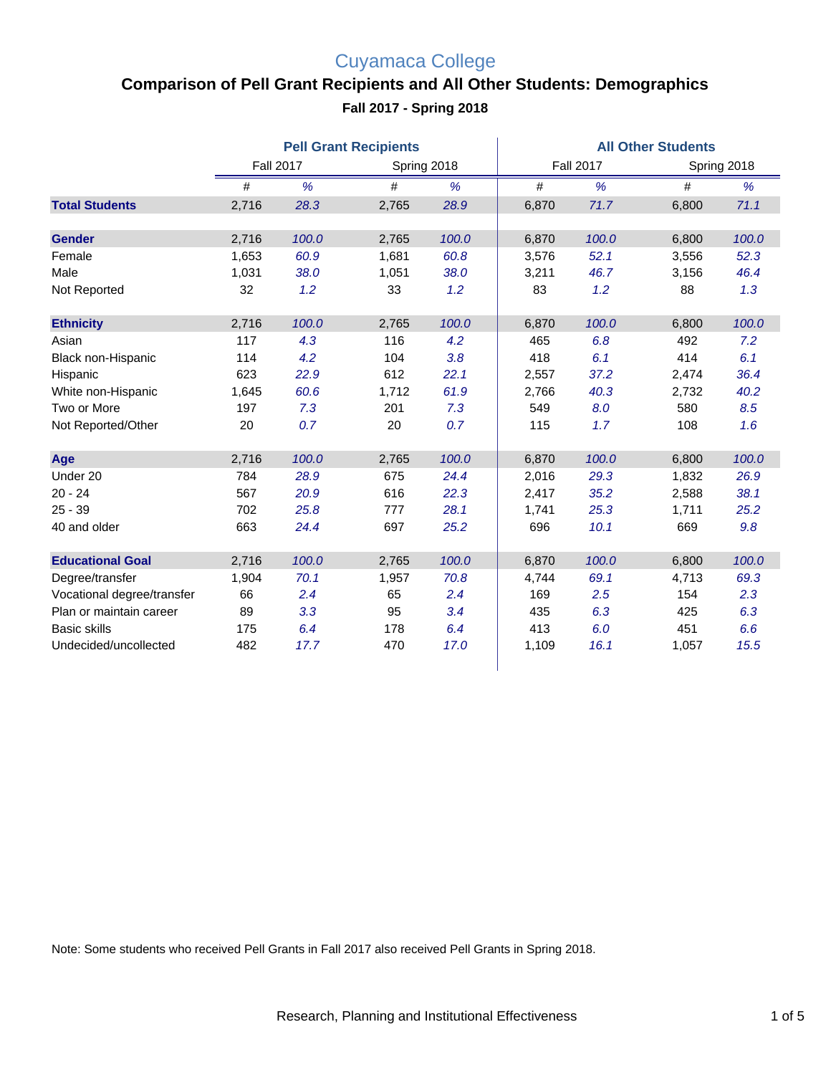# Cuyamaca College

### **Comparison of Pell Grant Recipients and All Other Students: Demographics Fall 2017 - Spring 2018**

|                            | <b>Pell Grant Recipients</b> |       |             |       | <b>All Other Students</b> |       |             |       |
|----------------------------|------------------------------|-------|-------------|-------|---------------------------|-------|-------------|-------|
|                            | <b>Fall 2017</b>             |       | Spring 2018 |       | <b>Fall 2017</b>          |       | Spring 2018 |       |
|                            | #                            | %     | #           | %     | #                         | %     | #           | %     |
| <b>Total Students</b>      | 2,716                        | 28.3  | 2,765       | 28.9  | 6,870                     | 71.7  | 6,800       | 71.1  |
| <b>Gender</b>              | 2,716                        | 100.0 | 2,765       | 100.0 | 6,870                     | 100.0 | 6,800       | 100.0 |
| Female                     | 1,653                        | 60.9  | 1,681       | 60.8  | 3,576                     | 52.1  | 3,556       | 52.3  |
| Male                       | 1,031                        | 38.0  | 1,051       | 38.0  | 3,211                     | 46.7  | 3,156       | 46.4  |
| Not Reported               | 32                           | 1.2   | 33          | 1.2   | 83                        | 1.2   | 88          | 1.3   |
| <b>Ethnicity</b>           | 2,716                        | 100.0 | 2,765       | 100.0 | 6,870                     | 100.0 | 6,800       | 100.0 |
| Asian                      | 117                          | 4.3   | 116         | 4.2   | 465                       | 6.8   | 492         | 7.2   |
| Black non-Hispanic         | 114                          | 4.2   | 104         | 3.8   | 418                       | 6.1   | 414         | 6.1   |
| Hispanic                   | 623                          | 22.9  | 612         | 22.1  | 2,557                     | 37.2  | 2,474       | 36.4  |
| White non-Hispanic         | 1,645                        | 60.6  | 1,712       | 61.9  | 2,766                     | 40.3  | 2,732       | 40.2  |
| Two or More                | 197                          | 7.3   | 201         | 7.3   | 549                       | 8.0   | 580         | 8.5   |
| Not Reported/Other         | 20                           | 0.7   | 20          | 0.7   | 115                       | 1.7   | 108         | 1.6   |
| Age                        | 2,716                        | 100.0 | 2,765       | 100.0 | 6,870                     | 100.0 | 6,800       | 100.0 |
| Under 20                   | 784                          | 28.9  | 675         | 24.4  | 2,016                     | 29.3  | 1,832       | 26.9  |
| $20 - 24$                  | 567                          | 20.9  | 616         | 22.3  | 2,417                     | 35.2  | 2,588       | 38.1  |
| $25 - 39$                  | 702                          | 25.8  | 777         | 28.1  | 1,741                     | 25.3  | 1,711       | 25.2  |
| 40 and older               | 663                          | 24.4  | 697         | 25.2  | 696                       | 10.1  | 669         | 9.8   |
| <b>Educational Goal</b>    | 2,716                        | 100.0 | 2,765       | 100.0 | 6,870                     | 100.0 | 6,800       | 100.0 |
| Degree/transfer            | 1,904                        | 70.1  | 1,957       | 70.8  | 4,744                     | 69.1  | 4,713       | 69.3  |
| Vocational degree/transfer | 66                           | 2.4   | 65          | 2.4   | 169                       | 2.5   | 154         | 2.3   |
| Plan or maintain career    | 89                           | 3.3   | 95          | 3.4   | 435                       | 6.3   | 425         | 6.3   |
| <b>Basic skills</b>        | 175                          | 6.4   | 178         | 6.4   | 413                       | 6.0   | 451         | 6.6   |
| Undecided/uncollected      | 482                          | 17.7  | 470         | 17.0  | 1,109                     | 16.1  | 1,057       | 15.5  |

Note: Some students who received Pell Grants in Fall 2017 also received Pell Grants in Spring 2018.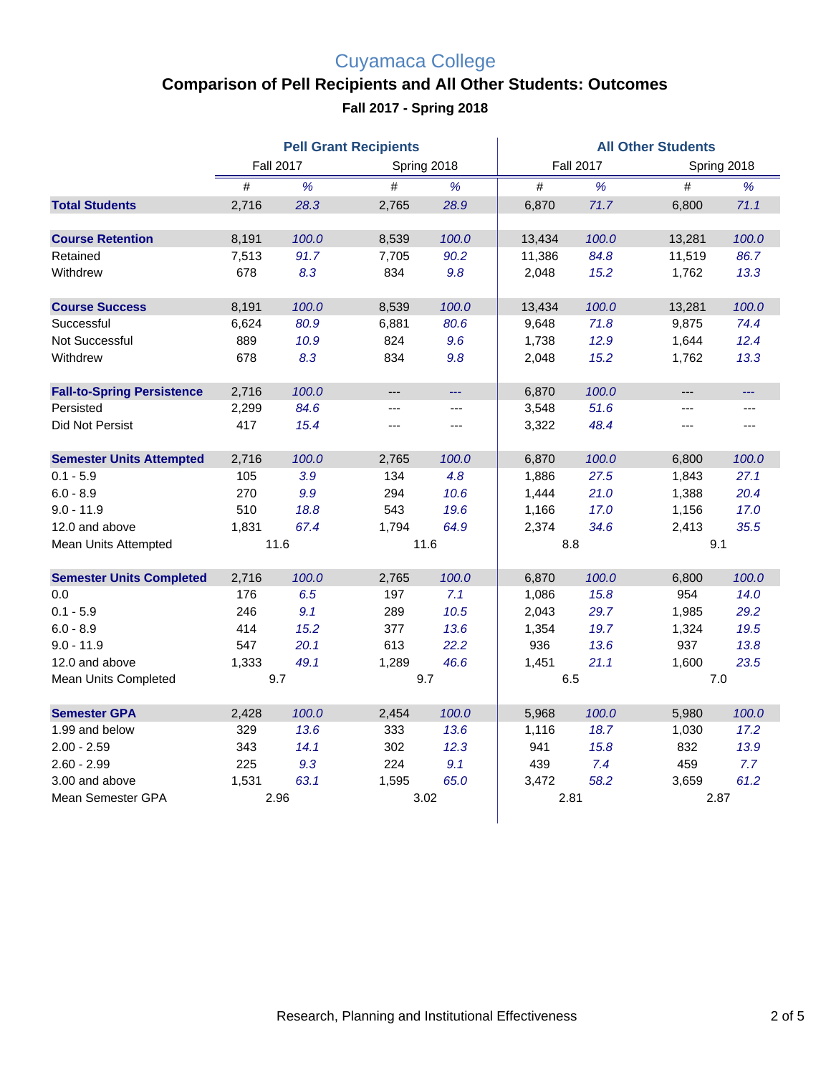# Cuyamaca College

### **Comparison of Pell Recipients and All Other Students: Outcomes**

**Fall 2017 - Spring 2018**

|                                   | <b>Pell Grant Recipients</b> |       |                |                | <b>All Other Students</b> |       |             |       |  |
|-----------------------------------|------------------------------|-------|----------------|----------------|---------------------------|-------|-------------|-------|--|
|                                   | <b>Fall 2017</b>             |       | Spring 2018    |                | <b>Fall 2017</b>          |       | Spring 2018 |       |  |
|                                   | #                            | %     | #              | %              | #                         | %     | #           | %     |  |
| <b>Total Students</b>             | 2,716                        | 28.3  | 2,765          | 28.9           | 6,870                     | 71.7  | 6,800       | 71.1  |  |
| <b>Course Retention</b>           | 8,191                        | 100.0 | 8,539          | 100.0          | 13,434                    | 100.0 | 13,281      | 100.0 |  |
| Retained                          | 7,513                        | 91.7  | 7,705          | 90.2           | 11,386                    | 84.8  | 11,519      | 86.7  |  |
| Withdrew                          | 678                          | 8.3   | 834            | 9.8            | 2,048                     | 15.2  | 1,762       | 13.3  |  |
| <b>Course Success</b>             | 8,191                        | 100.0 | 8,539          | 100.0          | 13,434                    | 100.0 | 13,281      | 100.0 |  |
| Successful                        | 6,624                        | 80.9  | 6,881          | 80.6           | 9,648                     | 71.8  | 9,875       | 74.4  |  |
| <b>Not Successful</b>             | 889                          | 10.9  | 824            | 9.6            | 1,738                     | 12.9  | 1,644       | 12.4  |  |
| Withdrew                          | 678                          | 8.3   | 834            | 9.8            | 2,048                     | 15.2  | 1,762       | 13.3  |  |
| <b>Fall-to-Spring Persistence</b> | 2,716                        | 100.0 | $---$          | ---            | 6,870                     | 100.0 | $---$       | ---   |  |
| Persisted                         | 2,299                        | 84.6  | $\overline{a}$ | $\overline{a}$ | 3,548                     | 51.6  | ---         | ---   |  |
| Did Not Persist                   | 417                          | 15.4  | ---            | $---$          | 3,322                     | 48.4  | $---$       | $---$ |  |
|                                   |                              |       |                |                |                           |       |             |       |  |
| <b>Semester Units Attempted</b>   | 2,716                        | 100.0 | 2,765          | 100.0          | 6,870                     | 100.0 | 6,800       | 100.0 |  |
| $0.1 - 5.9$                       | 105                          | 3.9   | 134            | 4.8            | 1,886                     | 27.5  | 1,843       | 27.1  |  |
| $6.0 - 8.9$                       | 270                          | 9.9   | 294            | 10.6           | 1,444                     | 21.0  | 1,388       | 20.4  |  |
| $9.0 - 11.9$                      | 510                          | 18.8  | 543            | 19.6           | 1,166                     | 17.0  | 1,156       | 17.0  |  |
| 12.0 and above                    | 1,831                        | 67.4  | 1.794          | 64.9           | 2,374                     | 34.6  | 2,413       | 35.5  |  |
| Mean Units Attempted              | 11.6                         |       | 11.6           |                | 8.8                       |       |             | 9.1   |  |
| <b>Semester Units Completed</b>   | 2,716                        | 100.0 | 2,765          | 100.0          | 6,870                     | 100.0 | 6,800       | 100.0 |  |
| 0.0                               | 176                          | 6.5   | 197            | 7.1            | 1,086                     | 15.8  | 954         | 14.0  |  |
| $0.1 - 5.9$                       | 246                          | 9.1   | 289            | 10.5           | 2,043                     | 29.7  | 1,985       | 29.2  |  |
| $6.0 - 8.9$                       | 414                          | 15.2  | 377            | 13.6           | 1,354                     | 19.7  | 1,324       | 19.5  |  |
| $9.0 - 11.9$                      | 547                          | 20.1  | 613            | 22.2           | 936                       | 13.6  | 937         | 13.8  |  |
| 12.0 and above                    | 1,333                        | 49.1  | 1,289          | 46.6           | 1,451                     | 21.1  | 1,600       | 23.5  |  |
| Mean Units Completed              | 9.7                          |       | 9.7            |                | 6.5                       |       | 7.0         |       |  |
| <b>Semester GPA</b>               | 2,428                        | 100.0 | 2,454          | 100.0          | 5,968                     | 100.0 | 5,980       | 100.0 |  |
| 1.99 and below                    | 329                          | 13.6  | 333            | 13.6           | 1,116                     | 18.7  | 1,030       | 17.2  |  |
| $2.00 - 2.59$                     | 343                          | 14.1  | 302            | 12.3           | 941                       | 15.8  | 832         | 13.9  |  |
| $2.60 - 2.99$                     | 225                          | 9.3   | 224            | 9.1            | 439                       | 7.4   | 459         | 7.7   |  |
| 3.00 and above                    | 1,531                        | 63.1  | 1,595          | 65.0           | 3,472                     | 58.2  | 3,659       | 61.2  |  |
| Mean Semester GPA                 | 2.96                         |       | 3.02           |                | 2.81                      |       | 2.87        |       |  |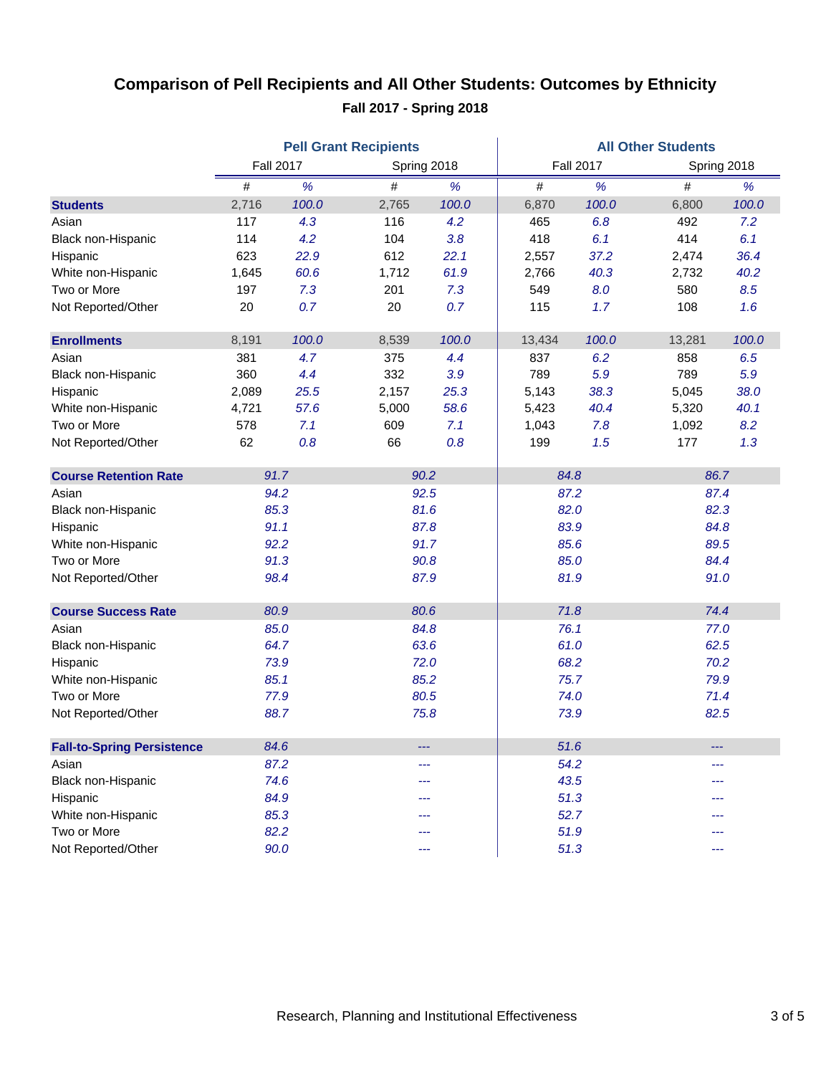### **Comparison of Pell Recipients and All Other Students: Outcomes by Ethnicity Fall 2017 - Spring 2018**

|                                   | <b>Pell Grant Recipients</b> |       |             |       | <b>All Other Students</b> |       |             |       |  |
|-----------------------------------|------------------------------|-------|-------------|-------|---------------------------|-------|-------------|-------|--|
|                                   | <b>Fall 2017</b>             |       | Spring 2018 |       | <b>Fall 2017</b>          |       | Spring 2018 |       |  |
|                                   | #                            | %     | #           | %     | $\#$                      | %     | #           | %     |  |
| <b>Students</b>                   | 2,716                        | 100.0 | 2,765       | 100.0 | 6,870                     | 100.0 | 6,800       | 100.0 |  |
| Asian                             | 117                          | 4.3   | 116         | 4.2   | 465                       | 6.8   | 492         | 7.2   |  |
| Black non-Hispanic                | 114                          | 4.2   | 104         | 3.8   | 418                       | 6.1   | 414         | 6.1   |  |
| Hispanic                          | 623                          | 22.9  | 612         | 22.1  | 2,557                     | 37.2  | 2,474       | 36.4  |  |
| White non-Hispanic                | 1,645                        | 60.6  | 1,712       | 61.9  | 2,766                     | 40.3  | 2,732       | 40.2  |  |
| Two or More                       | 197                          | 7.3   | 201         | 7.3   | 549                       | 8.0   | 580         | 8.5   |  |
| Not Reported/Other                | 20                           | 0.7   | 20          | 0.7   | 115                       | 1.7   | 108         | 1.6   |  |
| <b>Enrollments</b>                | 8,191                        | 100.0 | 8,539       | 100.0 | 13,434                    | 100.0 | 13,281      | 100.0 |  |
| Asian                             | 381                          | 4.7   | 375         | 4.4   | 837                       | 6.2   | 858         | 6.5   |  |
| Black non-Hispanic                | 360                          | 4.4   | 332         | 3.9   | 789                       | 5.9   | 789         | 5.9   |  |
| Hispanic                          | 2,089                        | 25.5  | 2,157       | 25.3  | 5,143                     | 38.3  | 5,045       | 38.0  |  |
| White non-Hispanic                | 4,721                        | 57.6  | 5,000       | 58.6  | 5,423                     | 40.4  | 5,320       | 40.1  |  |
| Two or More                       | 578                          | 7.1   | 609         | 7.1   | 1,043                     | 7.8   | 1,092       | 8.2   |  |
| Not Reported/Other                | 62                           | 0.8   | 66          | 0.8   | 199                       | 1.5   | 177         | 1.3   |  |
| <b>Course Retention Rate</b>      | 91.7                         |       | 90.2        |       | 84.8                      |       | 86.7        |       |  |
| Asian                             | 94.2                         |       | 92.5        |       | 87.2                      |       | 87.4        |       |  |
| Black non-Hispanic                | 85.3                         |       | 81.6        |       |                           | 82.0  |             | 82.3  |  |
| Hispanic                          | 91.1                         |       | 87.8        |       | 83.9                      |       | 84.8        |       |  |
| White non-Hispanic                | 92.2                         |       | 91.7        |       | 85.6                      |       | 89.5        |       |  |
| Two or More                       | 91.3                         |       | 90.8        |       |                           | 85.0  |             | 84.4  |  |
| Not Reported/Other                | 98.4                         |       | 87.9        |       | 81.9                      |       | 91.0        |       |  |
| <b>Course Success Rate</b>        | 80.9                         |       | 80.6        |       |                           | 71.8  |             | 74.4  |  |
| Asian                             |                              | 85.0  | 84.8        |       | 76.1                      |       | 77.0        |       |  |
| Black non-Hispanic                |                              | 64.7  | 63.6        |       | 61.0                      |       | 62.5        |       |  |
| Hispanic                          | 73.9                         |       | 72.0        |       |                           | 68.2  |             | 70.2  |  |
| White non-Hispanic                | 85.1                         |       | 85.2        |       | 75.7                      |       | 79.9        |       |  |
| Two or More                       |                              | 77.9  | 80.5        |       | 74.0                      |       | 71.4        |       |  |
| Not Reported/Other                |                              | 88.7  | 75.8        |       | 73.9                      |       | 82.5        |       |  |
| <b>Fall-to-Spring Persistence</b> | 84.6                         |       |             |       | 51.6                      |       |             |       |  |
| Asian                             | 87.2                         |       | ---         |       | 54.2                      |       | ---         |       |  |
| Black non-Hispanic                | 74.6                         |       | ---         |       | 43.5                      |       | ---         |       |  |
| Hispanic                          | 84.9                         |       |             |       |                           | 51.3  |             |       |  |
| White non-Hispanic                |                              | 85.3  |             |       |                           | 52.7  |             |       |  |
| Two or More                       | 82.2                         |       | ---         |       |                           | 51.9  |             | ---   |  |
| Not Reported/Other                | 90.0                         |       |             | ---   |                           | 51.3  |             | ---   |  |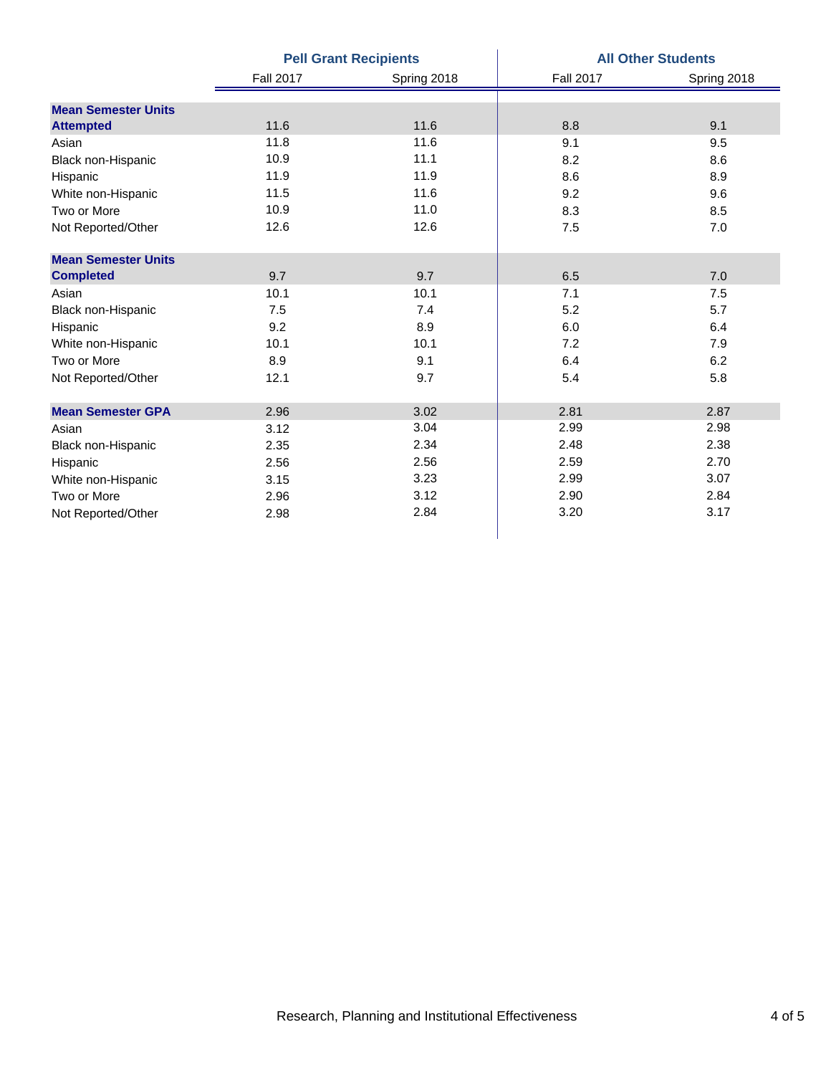|                            |                  | <b>Pell Grant Recipients</b> | <b>All Other Students</b> |             |  |  |
|----------------------------|------------------|------------------------------|---------------------------|-------------|--|--|
|                            | <b>Fall 2017</b> | Spring 2018                  | <b>Fall 2017</b>          | Spring 2018 |  |  |
| <b>Mean Semester Units</b> |                  |                              |                           |             |  |  |
| <b>Attempted</b>           | 11.6             | 11.6                         | 8.8                       | 9.1         |  |  |
| Asian                      | 11.8             | 11.6                         | 9.1                       | 9.5         |  |  |
| Black non-Hispanic         | 10.9             | 11.1                         | 8.2                       | 8.6         |  |  |
| Hispanic                   | 11.9             | 11.9                         | 8.6                       | 8.9         |  |  |
| White non-Hispanic         | 11.5             | 11.6                         | 9.2                       | 9.6         |  |  |
| Two or More                | 10.9             | 11.0                         | 8.3                       | 8.5         |  |  |
| Not Reported/Other         | 12.6             | 12.6                         | 7.5                       | 7.0         |  |  |
| <b>Mean Semester Units</b> |                  |                              |                           |             |  |  |
| <b>Completed</b>           | 9.7              | 9.7                          | 6.5                       | 7.0         |  |  |
| Asian                      | 10.1             | 10.1                         | 7.1                       | 7.5         |  |  |
| Black non-Hispanic         | 7.5              | 7.4                          | 5.2                       | 5.7         |  |  |
| Hispanic                   | 9.2              | 8.9                          | 6.0                       | 6.4         |  |  |
| White non-Hispanic         | 10.1             | 10.1                         | 7.2                       | 7.9         |  |  |
| Two or More                | 8.9              | 9.1                          | 6.4                       | 6.2         |  |  |
| Not Reported/Other         | 12.1             | 9.7                          | 5.4                       | 5.8         |  |  |
| <b>Mean Semester GPA</b>   | 2.96             | 3.02                         | 2.81                      | 2.87        |  |  |
| Asian                      | 3.12             | 3.04                         | 2.99                      | 2.98        |  |  |
| Black non-Hispanic         | 2.35             | 2.34                         | 2.48                      | 2.38        |  |  |
| Hispanic                   | 2.56             | 2.56                         | 2.59                      | 2.70        |  |  |
| White non-Hispanic         | 3.15             | 3.23                         | 2.99                      | 3.07        |  |  |
| Two or More                | 2.96             | 3.12                         | 2.90                      | 2.84        |  |  |
| Not Reported/Other         | 2.98             | 2.84                         | 3.20                      | 3.17        |  |  |
|                            |                  |                              |                           |             |  |  |